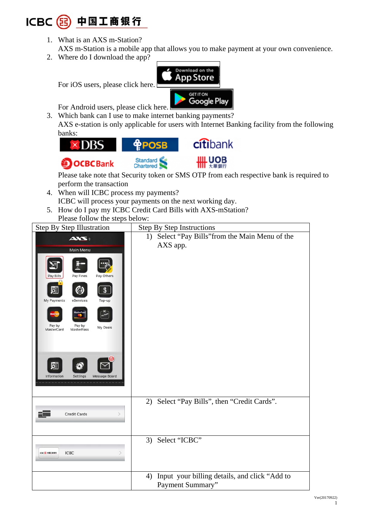## **ICBC** 中国工商银行

- 1. What is an AXS m-Station? AXS m-Station is a mobile app that allows you to make payment at your own convenience.
- 2. Where do I download the app?

Download on the **App Store** For iOS users, please click here. **GET IT ON** Google Play For Android users, please click here. 3. Which bank can I use to make internet banking payments?

AXS e-station is only applicable for users with Internet Banking facility from the following banks:



perform the transaction

- 4. When will ICBC process my payments? ICBC will process your payments on the next working day.
- 5. How do I pay my ICBC Credit Card Bills with AXS-mStation? Please follow the steps below:

| Step By Step Illustration                                                                                                                                                                                                             | <b>Step By Step Instructions</b>                                        |  |
|---------------------------------------------------------------------------------------------------------------------------------------------------------------------------------------------------------------------------------------|-------------------------------------------------------------------------|--|
| <b>AXS:</b><br>Main Menu<br>Pay Fines<br>Pay Others<br>Pay Bills<br>亙<br>\$<br>ⅇ<br>My Payments<br>eServices<br>Top-up<br>Pay by<br>Pay by<br>My Deals<br>MasterPass<br>MasterCard<br>Information<br><b>Settings</b><br>Message Board | Select "Pay Bills" from the Main Menu of the<br>1)<br>AXS app.          |  |
| Credit Cards                                                                                                                                                                                                                          | 2) Select "Pay Bills", then "Credit Cards".                             |  |
| <b>ICBC</b><br>ICBC OD WHITEHT                                                                                                                                                                                                        | 3) Select "ICBC"                                                        |  |
|                                                                                                                                                                                                                                       | Input your billing details, and click "Add to<br>4)<br>Payment Summary" |  |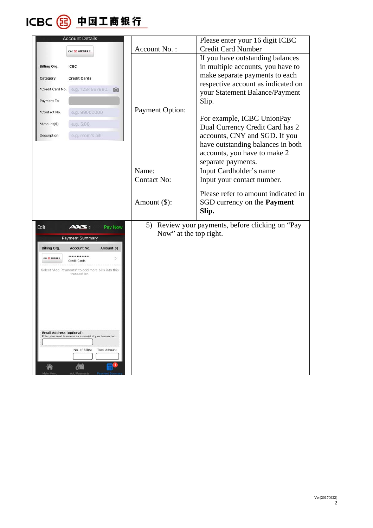

| <b>Account Details</b>                                                                           |                        | Please enter your 16 digit ICBC                  |
|--------------------------------------------------------------------------------------------------|------------------------|--------------------------------------------------|
| <b>ICBC OD 中国工商银行</b>                                                                            | Account No.:           | <b>Credit Card Number</b>                        |
|                                                                                                  |                        | If you have outstanding balances                 |
| <b>ICBC</b><br><b>Billing Org.</b>                                                               |                        | in multiple accounts, you have to                |
| Category<br><b>Credit Cards</b>                                                                  |                        | make separate payments to each                   |
|                                                                                                  |                        | respective account as indicated on               |
| *Credit Card No.<br>e.g. 1234567890                                                              |                        | your Statement Balance/Payment                   |
| Payment To                                                                                       |                        | Slip.                                            |
| e.g. 99000000<br>*Contact No.                                                                    | <b>Payment Option:</b> |                                                  |
|                                                                                                  |                        | For example, ICBC UnionPay                       |
| e.g. 5.00<br>*Amount(\$)                                                                         |                        | Dual Currency Credit Card has 2                  |
| Description<br>e.g. mom's bill                                                                   |                        | accounts, CNY and SGD. If you                    |
|                                                                                                  |                        | have outstanding balances in both                |
|                                                                                                  |                        | accounts, you have to make 2                     |
|                                                                                                  |                        | separate payments.                               |
|                                                                                                  | Name:                  | Input Cardholder's name                          |
|                                                                                                  | <b>Contact No:</b>     | Input your contact number.                       |
|                                                                                                  |                        | Please refer to amount indicated in              |
|                                                                                                  |                        |                                                  |
|                                                                                                  | Amount $(\$)$ :        | SGD currency on the <b>Payment</b>               |
|                                                                                                  |                        | Slip.                                            |
| Edit<br>AXS:<br>Pay Now                                                                          |                        | 5) Review your payments, before clicking on "Pay |
| <b>Payment Summary</b>                                                                           | Now" at the top right. |                                                  |
| <b>Billing Org.</b><br>Amount(\$)<br>Account No.                                                 |                        |                                                  |
| *************                                                                                    |                        |                                                  |
| <b>CBC OD PRIERRY</b><br>Credit Cards                                                            |                        |                                                  |
| Select "Add Payments" to add more bills into this<br>transaction.                                |                        |                                                  |
|                                                                                                  |                        |                                                  |
|                                                                                                  |                        |                                                  |
|                                                                                                  |                        |                                                  |
|                                                                                                  |                        |                                                  |
|                                                                                                  |                        |                                                  |
|                                                                                                  |                        |                                                  |
| <b>Email Address (optional)</b><br>Enter your email to receive an e-receipt of your transaction. |                        |                                                  |
|                                                                                                  |                        |                                                  |
| No. of Bill(s)<br><b>Total Amount</b>                                                            |                        |                                                  |
|                                                                                                  |                        |                                                  |
|                                                                                                  |                        |                                                  |